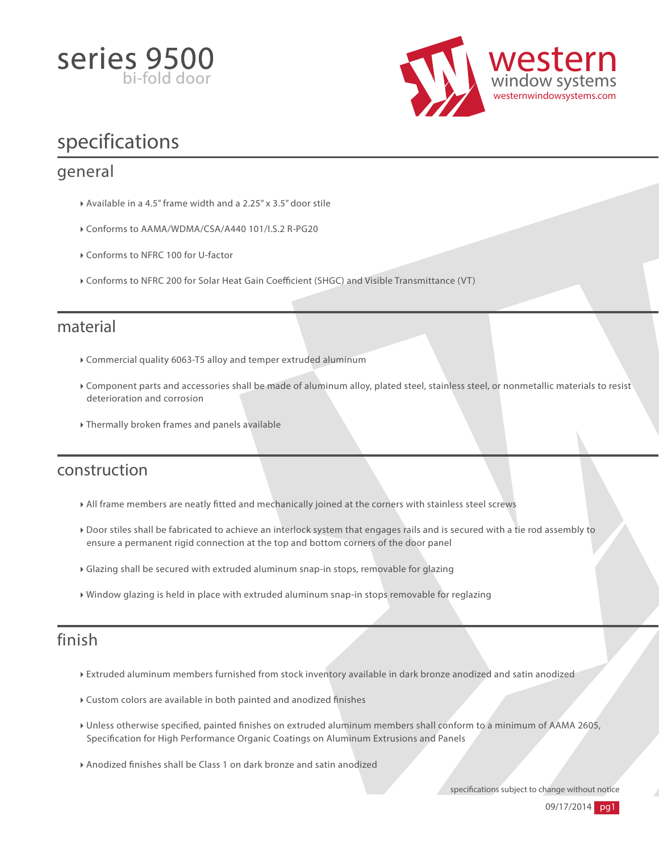



## specifications

#### general

- Available in a 4.5" frame width and a 2.25" x 3.5" door stile
- Conforms to AAMA/WDMA/CSA/A440 101/I.S.2 R-PG20
- Conforms to NFRC 100 for U-factor
- Conforms to NFRC 200 for Solar Heat Gain Coefficient (SHGC) and Visible Transmittance (VT)

#### material

- Commercial quality 6063-T5 alloy and temper extruded aluminum
- Component parts and accessories shall be made of aluminum alloy, plated steel, stainless steel, or nonmetallic materials to resist deterioration and corrosion
- Thermally broken frames and panels available

### construction

- All frame members are neatly tted and mechanically joined at the corners with stainless steel screws
- Door stiles shall be fabricated to achieve an interlock system that engages rails and is secured with a tie rod assembly to ensure a permanent rigid connection at the top and bottom corners of the door panel
- Glazing shall be secured with extruded aluminum snap-in stops, removable for glazing
- Window glazing is held in place with extruded aluminum snap-in stops removable for reglazing

### finish

- Extruded aluminum members furnished from stock inventory available in dark bronze anodized and satin anodized
- Custom colors are available in both painted and anodized finishes
- Unless otherwise specified, painted finishes on extruded aluminum members shall conform to a minimum of AAMA 2605, Specification for High Performance Organic Coatings on Aluminum Extrusions and Panels
- Anodized finishes shall be Class 1 on dark bronze and satin anodized

specifications subject to change without notice